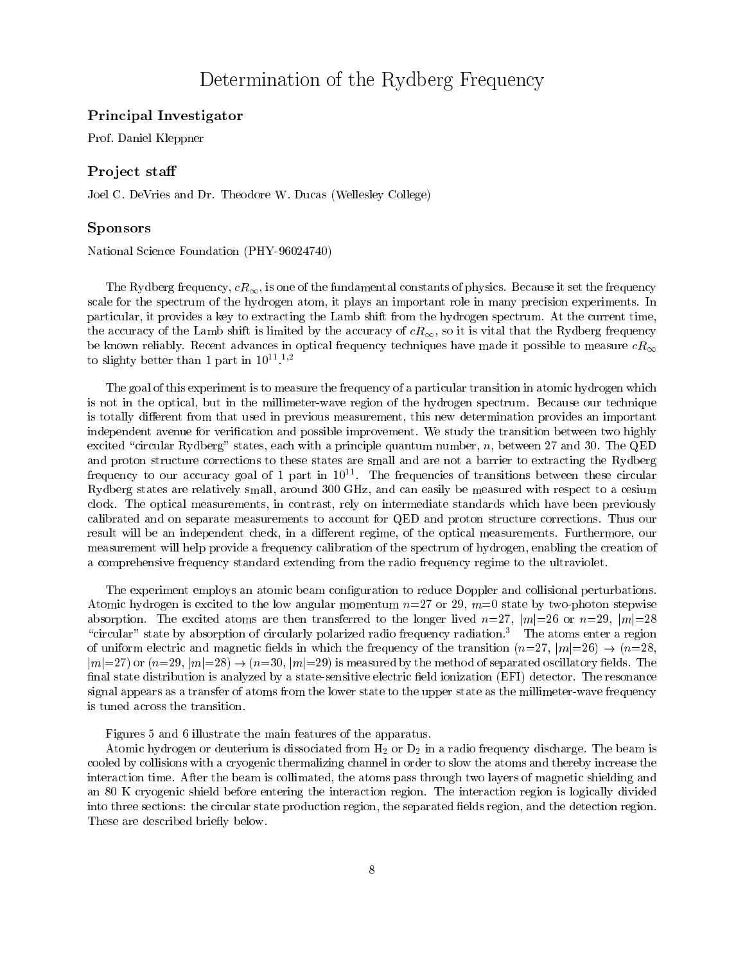## Determination of the Rydberg Frequency

## Principal Investigation of the set of the set of the set of the set of the set of the set of the set of the set of the set of the set of the set of the set of the set of the set of the set of the set of the set of the set

Prof. Daniel Kleppner

## $\blacksquare$  To ject stail

Joel C. DeVries and Dr. Theodore W. Ducas (Wellesley College)

## Sponsors

National Science Foundation (PHY-96024740)

The Rydberg frequency,  $cR_{\infty}$ , is one of the fundamental constants of physics. Because it set the frequency scale for the spectrum of the hydrogen atom, it plays an important role in many precision experiments. In particular, it provides a key to extracting the Lamb shift from the hydrogen spectrum. At the current time, the accuracy of the Lamb shift is limited by the accuracy of  $cR_{\infty}$ , so it is vital that the Rydberg frequency be known reliably. Recent advances in optical frequency techniques have made it possible to measure  $cR_{\infty}$ to slighty better than 1 part in  $10^{-1}$ .  $\cdot$ 

The goal of this experiment is to measure the frequency of a particular transition in atomic hydrogen which is not in the optical, but in the millimeter-wave region of the hydrogen spectrum. Because our technique is totally different from that used in previous measurement, this new determination provides an important independent avenue for verication and possible improvement. We study the transition between two highly excited "circular Rydberg" states, each with a principle quantum number,  $n$ , between 27 and 30. The QED and proton structure corrections to these states are small and are not a barrier to extracting the Rydberg frequency to our accuracy goal of 1 part in 1011 . The frequencies of transitions between these circular Rydberg states are relatively small, around 300 GHz, and can easily be measured with respect to a cesium clock. The optical measurements, in contrast, rely on intermediate standards which have been previously calibrated and on separate measurements to account for QED and proton structure corrections. Thus our result will be an independent check, in a different regime, of the optical measurements. Furthermore, our measurement will help provide a frequency calibration of the spectrum of hydrogen, enabling the creation of a comprehensive frequency standard extending from the radio frequency regime to the ultraviolet.

The experiment employs an atomic beam configuration to reduce Doppler and collisional perturbations. Atomic hydrogen is excited to the low angular momentum  $n=27$  or 29,  $m=0$  state by two-photon stepwise absorption. The excited atoms are then transferred to the longer lived  $n=27$ ,  $|m|=26$  or  $n=29$ ,  $|m|=28$ "circular" state by absorption of circularly polarized radio frequency radiation. $3$  The atoms enter a region of uniform electric and magnetic fields in which the frequency of the transition  $(n=27, |m|=26) \rightarrow (n=28,$  $|m|=27$  or  $(n=29, |m|=28) \rightarrow (n=30, |m|=29)$  is measured by the method of separated oscillatory fields. The final state distribution is analyzed by a state-sensitive electric field ionization (EFI) detector. The resonance signal appears as a transfer of atoms from the lower state to the upper state as the millimeter-wave frequency is tuned across the transition.

Figures 5 and 6 illustrate the main features of the apparatus.

Atomic hydrogen or deuterium is dissociated from  $H_2$  or  $D_2$  in a radio frequency discharge. The beam is cooled by collisions with a cryogenic thermalizing channel in order to slow the atoms and thereby increase the interaction time. After the beam is collimated, the atoms pass through two layers of magnetic shielding and an 80 K cryogenic shield before entering the interaction region. The interaction region is logically divided into three sections: the circular state production region, the separated fields region, and the detection region. These are described briefly below.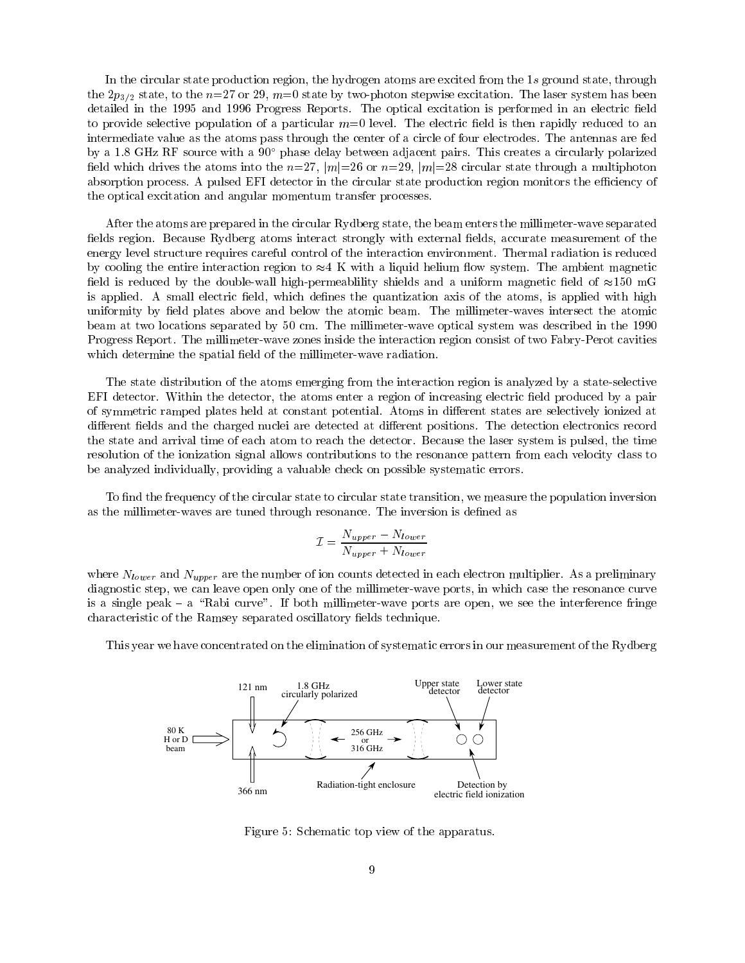In the circular state production region, the hydrogen atoms are excited from the 1s ground state, through the  $2p_{3/2}$  state, to the n=27 or 29, m=0 state by two-photon stepwise excitation. The laser system has been detailed in the 1995 and 1996 Progress Reports. The optical excitation is performed in an electric field to provide selective population of a particular  $m=0$  level. The electric field is then rapidly reduced to an intermediate value as the atoms pass through the center of a circle of four electrodes. The antennas are fed by a 1.8 GHz RF source with a 90° phase delay between adjacent pairs. This creates a circularly polarized field which drives the atoms into the  $n=27$ ,  $|m|=26$  or  $n=29$ ,  $|m|=28$  circular state through a multiphoton absorption process. A pulsed EFI detector in the circular state production region monitors the efficiency of the optical excitation and angular momentum transfer processes.

After the atoms are prepared in the circular Rydberg state, the beam enters the millimeter-wave separated fields region. Because Rydberg atoms interact strongly with external fields, accurate measurement of the energy level structure requires careful control of the interaction environment. Thermal radiation is reduced by cooling the entire interaction region to  $\approx$  4 K with a liquid helium flow system. The ambient magnetic field is reduced by the double-wall high-permeablility shields and a uniform magnetic field of  $\approx 150$  mG is applied. A small electric field, which defines the quantization axis of the atoms, is applied with high uniformity by field plates above and below the atomic beam. The millimeter-waves intersect the atomic beam at two locations separated by 50 cm. The millimeter-wave optical system was described in the 1990 Progress Report. The millimeter-wave zones inside the interaction region consist of two Fabry-Perot cavities which determine the spatial field of the millimeter-wave radiation.

The state distribution of the atoms emerging from the interaction region is analyzed by a state-selective EFI detector. Within the detector, the atoms enter a region of increasing electric field produced by a pair of symmetric ramped plates held at constant potential. Atoms in dierent states are selectively ionized at different fields and the charged nuclei are detected at different positions. The detection electronics record the state and arrival time of each atom to reach the detector. Because the laser system is pulsed, the time resolution of the ionization signal allows contributions to the resonance pattern from each velocity class to be analyzed individually, providing a valuable check on possible systematic errors.

To find the frequency of the circular state to circular state transition, we measure the population inversion as the millimeter-waves are tuned through resonance. The inversion is defined as

$$
\mathcal{I} = \frac{N_{upper} - N_{lower}}{N_{upper} + N_{lower}}
$$

where  $N_{lower}$  and  $N_{upper}$  are the number of ion counts detected in each electron multiplier. As a preliminary diagnostic step, we can leave open only one of the millimeter-wave ports, in which case the resonance curve is a single peak  $-$  a "Rabi curve". If both millimeter-wave ports are open, we see the interference fringe characteristic of the Ramsey separated oscillatory fields technique.

This year we have concentrated on the elimination of systematic errors in our measurement of the Rydberg



Figure 5: Schematic top view of the apparatus.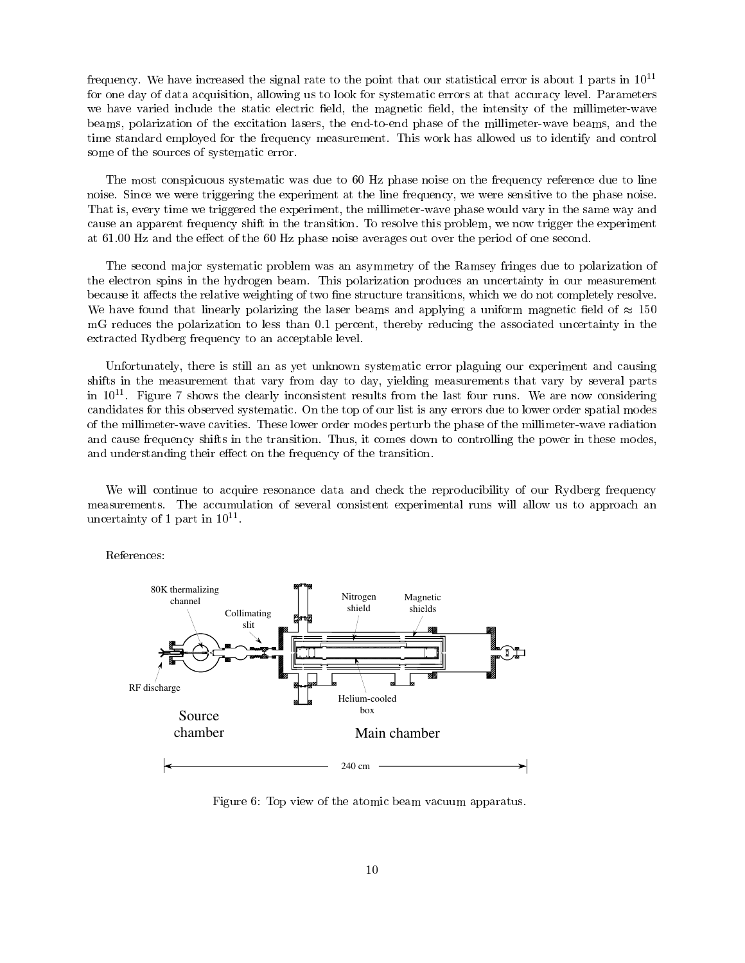frequency. We have increased the signal rate to the point that our statistical error is about 1 parts in  $10^{11}$ for one day of data acquisition, allowing us to look for systematic errors at that accuracy level. Parameters we have varied include the static electric field, the magnetic field, the intensity of the millimeter-wave beams, polarization of the excitation lasers, the end-to-end phase of the millimeter-wave beams, and the time standard employed for the frequency measurement. This work has allowed us to identify and control some of the sources of systematic error.

The most conspicuous systematic was due to 60 Hz phase noise on the frequency reference due to line noise. Since we were triggering the experiment at the line frequency, we were sensitive to the phase noise. That is, every time we triggered the experiment, the millimeter-wave phase would vary in the same way and cause an apparent frequency shift in the transition. To resolve this problem, we now trigger the experiment at 61.00 Hz and the effect of the 60 Hz phase noise averages out over the period of one second.

The second major systematic problem was an asymmetry of the Ramsey fringes due to polarization of the electron spins in the hydrogen beam. This polarization produces an uncertainty in our measurement because it affects the relative weighting of two fine structure transitions, which we do not completely resolve. We have found that linearly polarizing the laser beams and applying a uniform magnetic field of  $\approx 150$ mG reduces the polarization to less than 0.1 percent, thereby reducing the associated uncertainty in the extracted Rydberg frequency to an acceptable level.

Unfortunately, there is still an as yet unknown systematic error plaguing our experiment and causing shifts in the measurement that vary from day to day, yielding measurements that vary by several parts in rording are  $\ell$  shows the clearly inconsistent results from the last four runs. We are now considering candidates for this observed systematic. On the top of our list is any errors due to lower order spatial modes of the millimeter-wave cavities. These lower order modes perturb the phase of the millimeter-wave radiation and cause frequency shifts in the transition. Thus, it comes down to controlling the power in these modes, and understanding their effect on the frequency of the transition.

We will continue to acquire resonance data and check the reproducibility of our Rydberg frequency measurements. The accumulation of several consistent experimental runs will allow us to approach an uncertainty of 1 part in 1011 .

References:



Figure 6: Top view of the atomic beam vacuum apparatus.